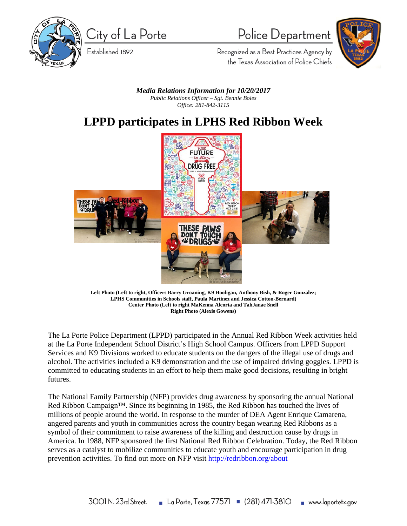

City of La Porte

Established 1892

## Police Department



Recognized as a Best Practices Agency by the Texas Association of Police Chiefs

*Media Relations Information for 10/20/2017 Public Relations Officer – Sgt. Bennie Boles Office: 281-842-3115*

## **LPPD participates in LPHS Red Ribbon Week**



**Left Photo (Left to right, Officers Barry Groaning, K9 Hooligan, Anthony Bish, & Roger Gonzalez; LPHS Communities in Schools staff, Paula Martinez and Jessica Cotton-Bernard) Center Photo (Left to right MaKenna Alcorta and TahJanae Snell Right Photo (Alexis Gowens)**

The La Porte Police Department (LPPD) participated in the Annual Red Ribbon Week activities held at the La Porte Independent School District's High School Campus. Officers from LPPD Support Services and K9 Divisions worked to educate students on the dangers of the illegal use of drugs and alcohol. The activities included a K9 demonstration and the use of impaired driving goggles. LPPD is committed to educating students in an effort to help them make good decisions, resulting in bright futures.

The National Family Partnership (NFP) provides drug awareness by sponsoring the annual National Red Ribbon Campaign<sup>™</sup>. Since its beginning in 1985, the Red Ribbon has touched the lives of millions of people around the world. In response to the murder of DEA Agent Enrique Camarena, angered parents and youth in communities across the country began wearing Red Ribbons as a symbol of their commitment to raise awareness of the killing and destruction cause by drugs in America. In 1988, NFP sponsored the first National Red Ribbon Celebration. Today, the Red Ribbon serves as a catalyst to mobilize communities to educate youth and encourage participation in drug prevention activities. To find out more on NFP visit [http://redribbon.org/about](http://redribbon.org/about/)